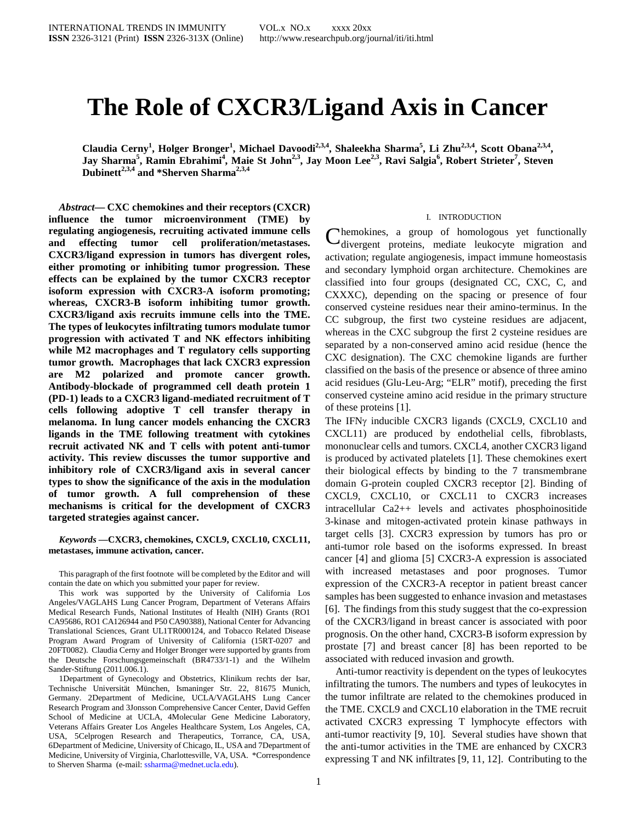# **The Role of CXCR3/Ligand Axis in Cancer**

**Claudia Cerny<sup>1</sup> , Holger Bronger<sup>1</sup> , Michael Davoodi2,3,4, Shaleekha Sharma5 , Li Zhu2,3,4, Scott Obana2,3,4, Jay Sharma<sup>5</sup> , Ramin Ebrahimi<sup>4</sup> , Maie St John2,3, Jay Moon Lee2,3, Ravi Salgia6 , Robert Strieter<sup>7</sup> , Steven Dubinett2,3,4 and \*Sherven Sharma2,3,4**

*Abstract***— CXC chemokines and their receptors (CXCR) influence the tumor microenvironment (TME) by regulating angiogenesis, recruiting activated immune cells and effecting tumor cell proliferation/metastases. CXCR3/ligand expression in tumors has divergent roles, either promoting or inhibiting tumor progression. These effects can be explained by the tumor CXCR3 receptor isoform expression with CXCR3-A isoform promoting; whereas, CXCR3-B isoform inhibiting tumor growth. CXCR3/ligand axis recruits immune cells into the TME. The types of leukocytes infiltrating tumors modulate tumor progression with activated T and NK effectors inhibiting while M2 macrophages and T regulatory cells supporting tumor growth. Macrophages that lack CXCR3 expression are M2 polarized and promote cancer growth. Antibody-blockade of programmed cell death protein 1 (PD-1) leads to a CXCR3 ligand-mediated recruitment of T cells following adoptive T cell transfer therapy in melanoma. In lung cancer models enhancing the CXCR3 ligands in the TME following treatment with cytokines recruit activated NK and T cells with potent anti-tumor activity. This review discusses the tumor supportive and inhibitory role of CXCR3/ligand axis in several cancer types to show the significance of the axis in the modulation of tumor growth. A full comprehension of these mechanisms is critical for the development of CXCR3 targeted strategies against cancer.**

*Keywords* **—CXCR3, chemokines, CXCL9, CXCL10, CXCL11, metastases, immune activation, cancer.**

This paragraph of the first footnote will be completed by the Editor and will contain the date on which you submitted your paper for review.

This work was supported by the University of California Los Angeles/VAGLAHS Lung Cancer Program, Department of Veterans Affairs Medical Research Funds, National Institutes of Health (NIH) Grants (RO1 CA95686, RO1 CA126944 and P50 CA90388), National Center for Advancing Translational Sciences, Grant UL1TR000124, and Tobacco Related Disease Program Award Program of University of California (15RT-0207 and 20FT0082). Claudia Cerny and Holger Bronger were supported by grants from the Deutsche Forschungsgemeinschaft (BR4733/1-1) and the Wilhelm Sander-Stiftung (2011.006.1).

1Department of Gynecology and Obstetrics, Klinikum rechts der Isar, Technische Universität München, Ismaninger Str. 22, 81675 Munich, Germany. 2Department of Medicine, UCLA/VAGLAHS Lung Cancer Research Program and 3Jonsson Comprehensive Cancer Center, David Geffen School of Medicine at UCLA, 4Molecular Gene Medicine Laboratory, Veterans Affairs Greater Los Angeles Healthcare System, Los Angeles, CA, USA, 5Celprogen Research and Therapeutics, Torrance, CA, USA, 6Department of Medicine, University of Chicago, IL, USA and 7Department of Medicine, University of Virginia, Charlottesville, VA, USA. \*Correspondence to Sherven Sharma (e-mail: ssharma@mednet.ucla.edu).

#### I. INTRODUCTION

hemokines, a group of homologous yet functionally Chemokines, a group of homologous yet functionally divergent proteins, mediate leukocyte migration and activation; regulate angiogenesis, impact immune homeostasis and secondary lymphoid organ architecture. Chemokines are classified into four groups (designated CC, CXC, C, and CXXXC), depending on the spacing or presence of four conserved cysteine residues near their amino-terminus. In the CC subgroup, the first two cysteine residues are adjacent, whereas in the CXC subgroup the first 2 cysteine residues are separated by a non-conserved amino acid residue (hence the CXC designation). The CXC chemokine ligands are further classified on the basis of the presence or absence of three amino acid residues (Glu-Leu-Arg; "ELR" motif), preceding the first conserved cysteine amino acid residue in the primary structure of these proteins [1].

The IFNγ inducible CXCR3 ligands (CXCL9, CXCL10 and CXCL11) are produced by endothelial cells, fibroblasts, mononuclear cells and tumors. CXCL4, another CXCR3 ligand is produced by activated platelets [1]. These chemokines exert their biological effects by binding to the 7 transmembrane domain G-protein coupled CXCR3 receptor [2]. Binding of CXCL9, CXCL10, or CXCL11 to CXCR3 increases intracellular Ca2++ levels and activates phosphoinositide 3-kinase and mitogen-activated protein kinase pathways in target cells [3]. CXCR3 expression by tumors has pro or anti-tumor role based on the isoforms expressed. In breast cancer [4] and glioma [5] CXCR3-A expression is associated with increased metastases and poor prognoses. Tumor expression of the CXCR3-A receptor in patient breast cancer samples has been suggested to enhance invasion and metastases [6]. The findings from this study suggest that the co-expression of the CXCR3/ligand in breast cancer is associated with poor prognosis. On the other hand, CXCR3-B isoform expression by prostate [7] and breast cancer [8] has been reported to be associated with reduced invasion and growth.

Anti-tumor reactivity is dependent on the types of leukocytes infiltrating the tumors. The numbers and types of leukocytes in the tumor infiltrate are related to the chemokines produced in the TME. CXCL9 and CXCL10 elaboration in the TME recruit activated CXCR3 expressing T lymphocyte effectors with anti-tumor reactivity [9, 10]. Several studies have shown that the anti-tumor activities in the TME are enhanced by CXCR3 expressing T and NK infiltrates [9, 11, 12]. Contributing to the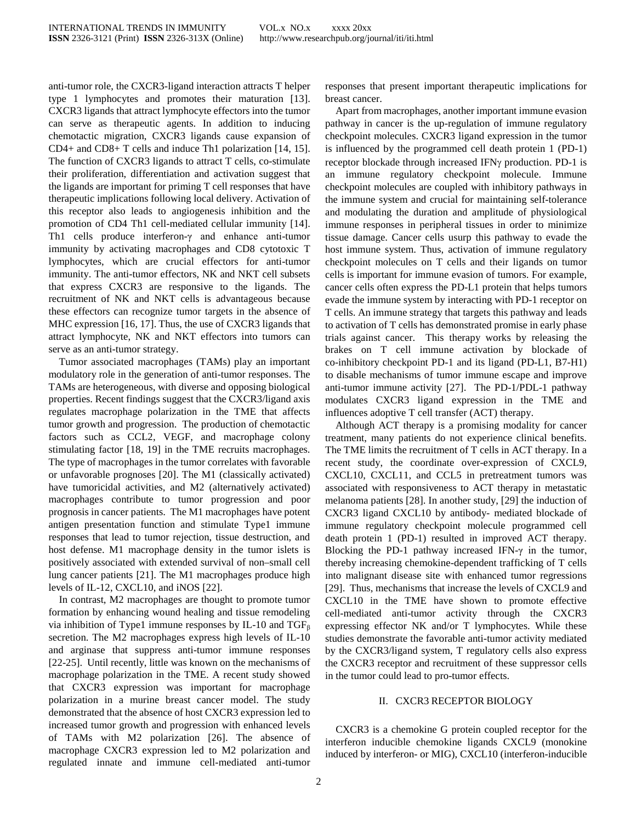anti-tumor role, the CXCR3-ligand interaction attracts T helper type 1 lymphocytes and promotes their maturation [13]. CXCR3 ligands that attract lymphocyte effectors into the tumor can serve as therapeutic agents. In addition to inducing chemotactic migration, CXCR3 ligands cause expansion of CD4+ and CD8+ T cells and induce Th1 polarization [14, 15]. The function of CXCR3 ligands to attract T cells, co-stimulate their proliferation, differentiation and activation suggest that the ligands are important for priming T cell responses that have therapeutic implications following local delivery. Activation of this receptor also leads to angiogenesis inhibition and the promotion of CD4 Th1 cell-mediated cellular immunity [14]. Th1 cells produce interferon-γ and enhance anti-tumor immunity by activating macrophages and CD8 cytotoxic T lymphocytes, which are crucial effectors for anti-tumor immunity. The anti-tumor effectors, NK and NKT cell subsets that express CXCR3 are responsive to the ligands. The recruitment of NK and NKT cells is advantageous because these effectors can recognize tumor targets in the absence of MHC expression [16, 17]. Thus, the use of CXCR3 ligands that attract lymphocyte, NK and NKT effectors into tumors can serve as an anti-tumor strategy.

Tumor associated macrophages (TAMs) play an important modulatory role in the generation of anti-tumor responses. The TAMs are heterogeneous, with diverse and opposing biological properties. Recent findings suggest that the CXCR3/ligand axis regulates macrophage polarization in the TME that affects tumor growth and progression. The production of chemotactic factors such as CCL2, VEGF, and macrophage colony stimulating factor [18, 19] in the TME recruits macrophages. The type of macrophages in the tumor correlates with favorable or unfavorable prognoses [20]. The M1 (classically activated) have tumoricidal activities, and M2 (alternatively activated) macrophages contribute to tumor progression and poor prognosis in cancer patients. The M1 macrophages have potent antigen presentation function and stimulate Type1 immune responses that lead to tumor rejection, tissue destruction, and host defense. M1 macrophage density in the tumor islets is positively associated with extended survival of non–small cell lung cancer patients [21]. The M1 macrophages produce high levels of IL-12, CXCL10, and iNOS [22].

In contrast, M2 macrophages are thought to promote tumor formation by enhancing wound healing and tissue remodeling via inhibition of Type1 immune responses by IL-10 and  $TGF_{\beta}$ secretion. The M2 macrophages express high levels of IL-10 and arginase that suppress anti-tumor immune responses [22-25]. Until recently, little was known on the mechanisms of macrophage polarization in the TME. A recent study showed that CXCR3 expression was important for macrophage polarization in a murine breast cancer model. The study demonstrated that the absence of host CXCR3 expression led to increased tumor growth and progression with enhanced levels of TAMs with M2 polarization [26]. The absence of macrophage CXCR3 expression led to M2 polarization and regulated innate and immune cell-mediated anti-tumor

responses that present important therapeutic implications for breast cancer.

Apart from macrophages, another important immune evasion pathway in cancer is the up-regulation of immune regulatory checkpoint molecules. CXCR3 ligand expression in the tumor is influenced by the programmed cell death protein 1 (PD-1) receptor blockade through increased IFNγ production. PD-1 is an immune regulatory checkpoint molecule. Immune checkpoint molecules are coupled with inhibitory pathways in the immune system and crucial for maintaining self-tolerance and modulating the duration and amplitude of physiological immune responses in peripheral tissues in order to minimize tissue damage. Cancer cells usurp this pathway to evade the host immune system. Thus, activation of immune regulatory checkpoint molecules on T cells and their ligands on tumor cells is important for immune evasion of tumors. For example, cancer cells often express the PD-L1 protein that helps tumors evade the immune system by interacting with PD-1 receptor on T cells. An immune strategy that targets this pathway and leads to activation of T cells has demonstrated promise in early phase trials against cancer. This therapy works by releasing the brakes on T cell immune activation by blockade of co-inhibitory checkpoint PD-1 and its ligand (PD-L1, B7-H1) to disable mechanisms of tumor immune escape and improve anti-tumor immune activity [27]. The PD-1/PDL-1 pathway modulates CXCR3 ligand expression in the TME and influences adoptive T cell transfer (ACT) therapy.

Although ACT therapy is a promising modality for cancer treatment, many patients do not experience clinical benefits. The TME limits the recruitment of T cells in ACT therapy. In a recent study, the coordinate over-expression of CXCL9, CXCL10, CXCL11, and CCL5 in pretreatment tumors was associated with responsiveness to ACT therapy in metastatic melanoma patients [28]. In another study, [29] the induction of CXCR3 ligand CXCL10 by antibody- mediated blockade of immune regulatory checkpoint molecule programmed cell death protein 1 (PD-1) resulted in improved ACT therapy. Blocking the PD-1 pathway increased IFN- $\gamma$  in the tumor, thereby increasing chemokine-dependent trafficking of T cells into malignant disease site with enhanced tumor regressions [29]. Thus, mechanisms that increase the levels of CXCL9 and CXCL10 in the TME have shown to promote effective cell-mediated anti-tumor activity through the CXCR3 expressing effector NK and/or T lymphocytes. While these studies demonstrate the favorable anti-tumor activity mediated by the CXCR3/ligand system, T regulatory cells also express the CXCR3 receptor and recruitment of these suppressor cells in the tumor could lead to pro-tumor effects.

## II. CXCR3 RECEPTOR BIOLOGY

CXCR3 is a chemokine G protein coupled receptor for the interferon inducible chemokine ligands CXCL9 (monokine induced by interferon- or MIG), CXCL10 (interferon-inducible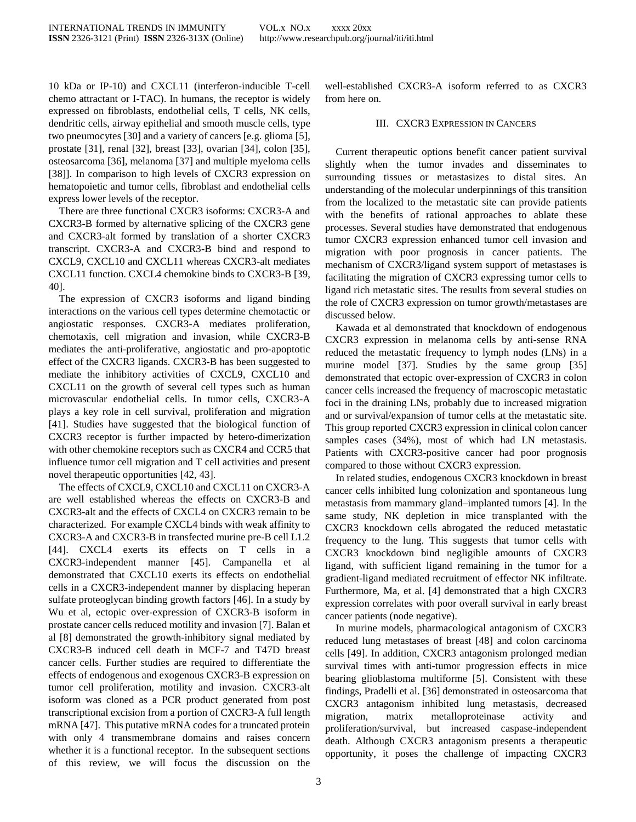10 kDa or IP-10) and CXCL11 (interferon-inducible T-cell chemo attractant or I-TAC). In humans, the receptor is widely expressed on fibroblasts, endothelial cells, T cells, NK cells, dendritic cells, airway epithelial and smooth muscle cells, type two pneumocytes [30] and a variety of cancers [e.g. glioma [5], prostate [31], renal [32], breast [33], ovarian [34], colon [35], osteosarcoma [36], melanoma [37] and multiple myeloma cells [38]]. In comparison to high levels of CXCR3 expression on hematopoietic and tumor cells, fibroblast and endothelial cells express lower levels of the receptor.

There are three functional CXCR3 isoforms: CXCR3-A and CXCR3-B formed by alternative splicing of the CXCR3 gene and CXCR3-alt formed by translation of a shorter CXCR3 transcript. CXCR3-A and CXCR3-B bind and respond to CXCL9, CXCL10 and CXCL11 whereas CXCR3-alt mediates CXCL11 function. CXCL4 chemokine binds to CXCR3-B [39, 40].

The expression of CXCR3 isoforms and ligand binding interactions on the various cell types determine chemotactic or angiostatic responses. CXCR3-A mediates proliferation, chemotaxis, cell migration and invasion, while CXCR3-B mediates the anti-proliferative, angiostatic and pro-apoptotic effect of the CXCR3 ligands. CXCR3-B has been suggested to mediate the inhibitory activities of CXCL9, CXCL10 and CXCL11 on the growth of several cell types such as human microvascular endothelial cells. In tumor cells, CXCR3-A plays a key role in cell survival, proliferation and migration [41]. Studies have suggested that the biological function of CXCR3 receptor is further impacted by hetero-dimerization with other chemokine receptors such as CXCR4 and CCR5 that influence tumor cell migration and T cell activities and present novel therapeutic opportunities [42, 43].

The effects of CXCL9, CXCL10 and CXCL11 on CXCR3-A are well established whereas the effects on CXCR3-B and CXCR3-alt and the effects of CXCL4 on CXCR3 remain to be characterized. For example CXCL4 binds with weak affinity to CXCR3-A and CXCR3-B in transfected murine pre-B cell L1.2 [44]. CXCL4 exerts its effects on T cells in a CXCR3-independent manner [45]. Campanella et al demonstrated that CXCL10 exerts its effects on endothelial cells in a CXCR3-independent manner by displacing heperan sulfate proteoglycan binding growth factors [46]. In a study by Wu et al, ectopic over-expression of CXCR3-B isoform in prostate cancer cells reduced motility and invasion [7]. Balan et al [8] demonstrated the growth-inhibitory signal mediated by CXCR3-B induced cell death in MCF-7 and T47D breast cancer cells. Further studies are required to differentiate the effects of endogenous and exogenous CXCR3-B expression on tumor cell proliferation, motility and invasion. CXCR3-alt isoform was cloned as a PCR product generated from post transcriptional excision from a portion of CXCR3-A full length mRNA [47]. This putative mRNA codes for a truncated protein with only 4 transmembrane domains and raises concern whether it is a functional receptor. In the subsequent sections of this review, we will focus the discussion on the

well-established CXCR3-A isoform referred to as CXCR3 from here on.

## III. CXCR3 EXPRESSION IN CANCERS

Current therapeutic options benefit cancer patient survival slightly when the tumor invades and disseminates to surrounding tissues or metastasizes to distal sites. An understanding of the molecular underpinnings of this transition from the localized to the metastatic site can provide patients with the benefits of rational approaches to ablate these processes. Several studies have demonstrated that endogenous tumor CXCR3 expression enhanced tumor cell invasion and migration with poor prognosis in cancer patients. The mechanism of CXCR3/ligand system support of metastases is facilitating the migration of CXCR3 expressing tumor cells to ligand rich metastatic sites. The results from several studies on the role of CXCR3 expression on tumor growth/metastases are discussed below.

Kawada et al demonstrated that knockdown of endogenous CXCR3 expression in melanoma cells by anti-sense RNA reduced the metastatic frequency to lymph nodes (LNs) in a murine model [37]. Studies by the same group [35] demonstrated that ectopic over-expression of CXCR3 in colon cancer cells increased the frequency of macroscopic metastatic foci in the draining LNs, probably due to increased migration and or survival/expansion of tumor cells at the metastatic site. This group reported CXCR3 expression in clinical colon cancer samples cases (34%), most of which had LN metastasis. Patients with CXCR3-positive cancer had poor prognosis compared to those without CXCR3 expression.

In related studies, endogenous CXCR3 knockdown in breast cancer cells inhibited lung colonization and spontaneous lung metastasis from mammary gland–implanted tumors [4]. In the same study, NK depletion in mice transplanted with the CXCR3 knockdown cells abrogated the reduced metastatic frequency to the lung. This suggests that tumor cells with CXCR3 knockdown bind negligible amounts of CXCR3 ligand, with sufficient ligand remaining in the tumor for a gradient-ligand mediated recruitment of effector NK infiltrate. Furthermore, Ma, et al. [4] demonstrated that a high CXCR3 expression correlates with poor overall survival in early breast cancer patients (node negative).

In murine models, pharmacological antagonism of CXCR3 reduced lung metastases of breast [48] and colon carcinoma cells [49]. In addition, CXCR3 antagonism prolonged median survival times with anti-tumor progression effects in mice bearing glioblastoma multiforme [5]. Consistent with these findings, Pradelli et al. [36] demonstrated in osteosarcoma that CXCR3 antagonism inhibited lung metastasis, decreased migration, matrix metalloproteinase activity and proliferation/survival, but increased caspase-independent death. Although CXCR3 antagonism presents a therapeutic opportunity, it poses the challenge of impacting CXCR3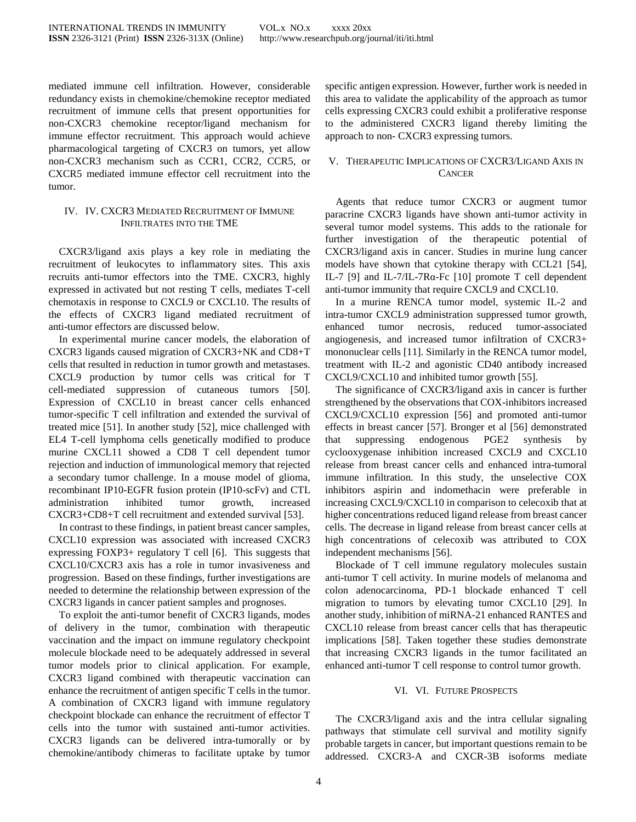mediated immune cell infiltration. However, considerable redundancy exists in chemokine/chemokine receptor mediated recruitment of immune cells that present opportunities for non-CXCR3 chemokine receptor/ligand mechanism for immune effector recruitment. This approach would achieve pharmacological targeting of CXCR3 on tumors, yet allow non-CXCR3 mechanism such as CCR1, CCR2, CCR5, or CXCR5 mediated immune effector cell recruitment into the tumor.

### IV. IV. CXCR3 MEDIATED RECRUITMENT OF IMMUNE INFILTRATES INTO THE TME

CXCR3/ligand axis plays a key role in mediating the recruitment of leukocytes to inflammatory sites. This axis recruits anti-tumor effectors into the TME. CXCR3, highly expressed in activated but not resting T cells, mediates T-cell chemotaxis in response to CXCL9 or CXCL10. The results of the effects of CXCR3 ligand mediated recruitment of anti-tumor effectors are discussed below.

In experimental murine cancer models, the elaboration of CXCR3 ligands caused migration of CXCR3+NK and CD8+T cells that resulted in reduction in tumor growth and metastases. CXCL9 production by tumor cells was critical for T cell-mediated suppression of cutaneous tumors [50]. Expression of CXCL10 in breast cancer cells enhanced tumor-specific T cell infiltration and extended the survival of treated mice [51]. In another study [52], mice challenged with EL4 T-cell lymphoma cells genetically modified to produce murine CXCL11 showed a CD8 T cell dependent tumor rejection and induction of immunological memory that rejected a secondary tumor challenge. In a mouse model of glioma, recombinant IP10-EGFR fusion protein (IP10-scFv) and CTL administration inhibited tumor growth, increased CXCR3+CD8+T cell recruitment and extended survival [53].

In contrast to these findings, in patient breast cancer samples, CXCL10 expression was associated with increased CXCR3 expressing FOXP3+ regulatory T cell [6]. This suggests that CXCL10/CXCR3 axis has a role in tumor invasiveness and progression. Based on these findings, further investigations are needed to determine the relationship between expression of the CXCR3 ligands in cancer patient samples and prognoses.

To exploit the anti-tumor benefit of CXCR3 ligands, modes of delivery in the tumor, combination with therapeutic vaccination and the impact on immune regulatory checkpoint molecule blockade need to be adequately addressed in several tumor models prior to clinical application. For example, CXCR3 ligand combined with therapeutic vaccination can enhance the recruitment of antigen specific T cells in the tumor. A combination of CXCR3 ligand with immune regulatory checkpoint blockade can enhance the recruitment of effector T cells into the tumor with sustained anti-tumor activities. CXCR3 ligands can be delivered intra-tumorally or by chemokine/antibody chimeras to facilitate uptake by tumor

specific antigen expression. However, further work is needed in this area to validate the applicability of the approach as tumor cells expressing CXCR3 could exhibit a proliferative response to the administered CXCR3 ligand thereby limiting the approach to non- CXCR3 expressing tumors.

# V. THERAPEUTIC IMPLICATIONS OF CXCR3/LIGAND AXIS IN **CANCER**

Agents that reduce tumor CXCR3 or augment tumor paracrine CXCR3 ligands have shown anti-tumor activity in several tumor model systems. This adds to the rationale for further investigation of the therapeutic potential of CXCR3/ligand axis in cancer. Studies in murine lung cancer models have shown that cytokine therapy with CCL21 [54], IL-7 [9] and IL-7/IL-7R $\alpha$ -Fc [10] promote T cell dependent anti-tumor immunity that require CXCL9 and CXCL10.

In a murine RENCA tumor model, systemic IL-2 and intra-tumor CXCL9 administration suppressed tumor growth, enhanced tumor necrosis, reduced tumor-associated angiogenesis, and increased tumor infiltration of CXCR3+ mononuclear cells [11]. Similarly in the RENCA tumor model, treatment with IL-2 and agonistic CD40 antibody increased CXCL9/CXCL10 and inhibited tumor growth [55].

The significance of CXCR3/ligand axis in cancer is further strengthened by the observations that COX-inhibitors increased CXCL9/CXCL10 expression [56] and promoted anti-tumor effects in breast cancer [57]. Bronger et al [56] demonstrated that suppressing endogenous PGE2 synthesis by cyclooxygenase inhibition increased CXCL9 and CXCL10 release from breast cancer cells and enhanced intra-tumoral immune infiltration. In this study, the unselective COX inhibitors aspirin and indomethacin were preferable in increasing CXCL9/CXCL10 in comparison to celecoxib that at higher concentrations reduced ligand release from breast cancer cells. The decrease in ligand release from breast cancer cells at high concentrations of celecoxib was attributed to COX independent mechanisms [56].

Blockade of T cell immune regulatory molecules sustain anti-tumor T cell activity. In murine models of melanoma and colon adenocarcinoma, PD-1 blockade enhanced T cell migration to tumors by elevating tumor CXCL10 [29]. In another study, inhibition of miRNA-21 enhanced RANTES and CXCL10 release from breast cancer cells that has therapeutic implications [58]. Taken together these studies demonstrate that increasing CXCR3 ligands in the tumor facilitated an enhanced anti-tumor T cell response to control tumor growth.

# VI. VI. FUTURE PROSPECTS

The CXCR3/ligand axis and the intra cellular signaling pathways that stimulate cell survival and motility signify probable targets in cancer, but important questions remain to be addressed. CXCR3-A and CXCR-3B isoforms mediate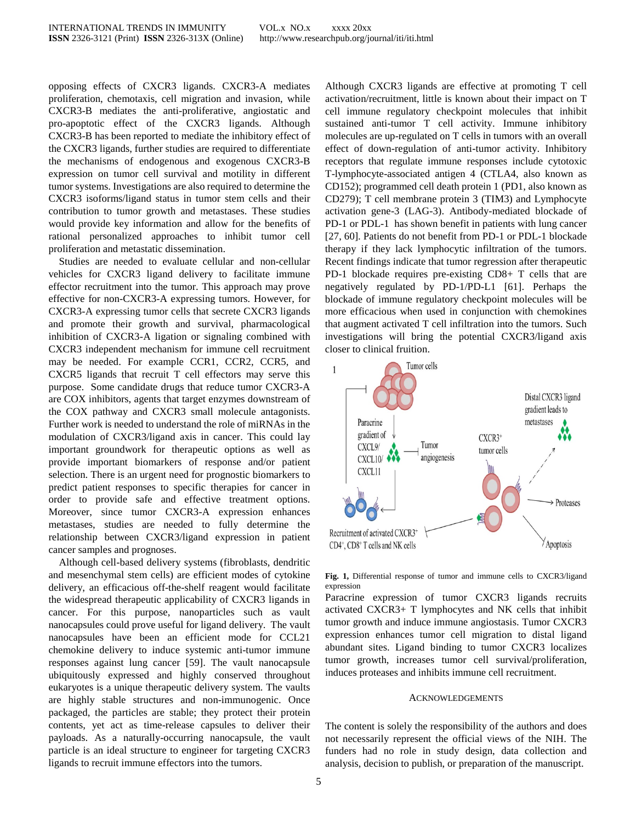opposing effects of CXCR3 ligands. CXCR3-A mediates proliferation, chemotaxis, cell migration and invasion, while CXCR3-B mediates the anti-proliferative, angiostatic and pro-apoptotic effect of the CXCR3 ligands. Although CXCR3-B has been reported to mediate the inhibitory effect of the CXCR3 ligands, further studies are required to differentiate the mechanisms of endogenous and exogenous CXCR3-B expression on tumor cell survival and motility in different tumor systems. Investigations are also required to determine the CXCR3 isoforms/ligand status in tumor stem cells and their contribution to tumor growth and metastases. These studies would provide key information and allow for the benefits of rational personalized approaches to inhibit tumor cell proliferation and metastatic dissemination.

Studies are needed to evaluate cellular and non-cellular vehicles for CXCR3 ligand delivery to facilitate immune effector recruitment into the tumor. This approach may prove effective for non-CXCR3-A expressing tumors. However, for CXCR3-A expressing tumor cells that secrete CXCR3 ligands and promote their growth and survival, pharmacological inhibition of CXCR3-A ligation or signaling combined with CXCR3 independent mechanism for immune cell recruitment may be needed. For example CCR1, CCR2, CCR5, and CXCR5 ligands that recruit T cell effectors may serve this purpose. Some candidate drugs that reduce tumor CXCR3-A are COX inhibitors, agents that target enzymes downstream of the COX pathway and CXCR3 small molecule antagonists. Further work is needed to understand the role of miRNAs in the modulation of CXCR3/ligand axis in cancer. This could lay important groundwork for therapeutic options as well as provide important biomarkers of response and/or patient selection. There is an urgent need for prognostic biomarkers to predict patient responses to specific therapies for cancer in order to provide safe and effective treatment options. Moreover, since tumor CXCR3-A expression enhances metastases, studies are needed to fully determine the relationship between CXCR3/ligand expression in patient cancer samples and prognoses.

Although cell-based delivery systems (fibroblasts, dendritic and mesenchymal stem cells) are efficient modes of cytokine delivery, an efficacious off-the-shelf reagent would facilitate the widespread therapeutic applicability of CXCR3 ligands in cancer. For this purpose, nanoparticles such as vault nanocapsules could prove useful for ligand delivery. The vault nanocapsules have been an efficient mode for CCL21 chemokine delivery to induce systemic anti-tumor immune responses against lung cancer [59]. The vault nanocapsule ubiquitously expressed and highly conserved throughout eukaryotes is a unique therapeutic delivery system. The vaults are highly stable structures and non-immunogenic. Once packaged, the particles are stable; they protect their protein contents, yet act as time-release capsules to deliver their payloads. As a naturally-occurring nanocapsule, the vault particle is an ideal structure to engineer for targeting CXCR3 ligands to recruit immune effectors into the tumors.

Although CXCR3 ligands are effective at promoting T cell activation/recruitment, little is known about their impact on T cell immune regulatory checkpoint molecules that inhibit sustained anti-tumor T cell activity. Immune inhibitory molecules are up-regulated on T cells in tumors with an overall effect of down-regulation of anti-tumor activity. Inhibitory receptors that regulate immune responses include cytotoxic T-lymphocyte-associated antigen 4 (CTLA4, also known as CD152); programmed cell death protein 1 (PD1, also known as CD279); T cell membrane protein 3 (TIM3) and Lymphocyte activation gene-3 (LAG-3). Antibody-mediated blockade of PD-1 or PDL-1 has shown benefit in patients with lung cancer [27, 60]. Patients do not benefit from PD-1 or PDL-1 blockade therapy if they lack lymphocytic infiltration of the tumors. Recent findings indicate that tumor regression after therapeutic PD-1 blockade requires pre-existing CD8+ T cells that are negatively regulated by PD-1/PD-L1 [61]. Perhaps the blockade of immune regulatory checkpoint molecules will be more efficacious when used in conjunction with chemokines that augment activated T cell infiltration into the tumors. Such investigations will bring the potential CXCR3/ligand axis closer to clinical fruition.



**Fig. 1,** Differential response of tumor and immune cells to CXCR3/ligand expression

Paracrine expression of tumor CXCR3 ligands recruits activated CXCR3+ T lymphocytes and NK cells that inhibit tumor growth and induce immune angiostasis. Tumor CXCR3 expression enhances tumor cell migration to distal ligand abundant sites. Ligand binding to tumor CXCR3 localizes tumor growth, increases tumor cell survival/proliferation, induces proteases and inhibits immune cell recruitment.

#### ACKNOWLEDGEMENTS

The content is solely the responsibility of the authors and does not necessarily represent the official views of the NIH. The funders had no role in study design, data collection and analysis, decision to publish, or preparation of the manuscript.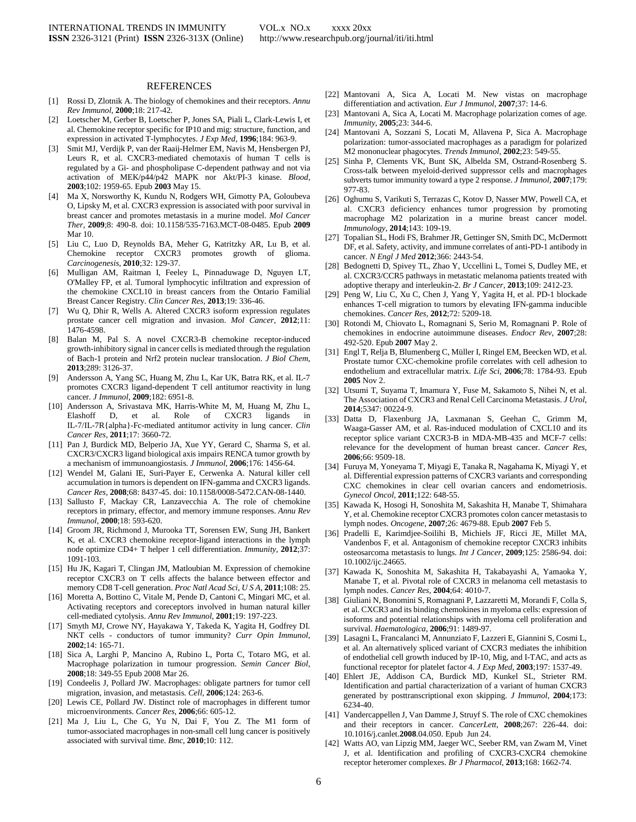#### REFERENCES

- [1] Rossi D, Zlotnik A. The biology of chemokines and their receptors. *Annu Rev Immunol,* **2000**;18: 217-42.
- [2] Loetscher M, Gerber B, Loetscher P, Jones SA, Piali L, Clark-Lewis I, et al. Chemokine receptor specific for IP10 and mig: structure, function, and expression in activated T-lymphocytes. *J Exp Med*, **1996**;184: 963-9.
- [3] Smit MJ, Verdijk P, van der Raaij-Helmer EM, Navis M, Hensbergen PJ, Leurs R, et al. CXCR3-mediated chemotaxis of human T cells is regulated by a Gi- and phospholipase C-dependent pathway and not via activation of MEK/p44/p42 MAPK nor Akt/PI-3 kinase. *Blood,* **2003**;102: 1959-65. Epub **2003** May 15.
- [4] Ma X, Norsworthy K, Kundu N, Rodgers WH, Gimotty PA, Goloubeva O, Lipsky M, et al. CXCR3 expression is associated with poor survival in breast cancer and promotes metastasis in a murine model. *Mol Cancer Ther,* **2009**;8: 490-8. doi: 10.1158/535-7163.MCT-08-0485. Epub **2009** Mar 10.
- [5] Liu C, Luo D, Reynolds BA, Meher G, Katritzky AR, Lu B, et al. Chemokine receptor CXCR3 promotes growth of glioma. *Carcinogenesis*, **2010**;32: 129-37.
- [6] Mulligan AM, Raitman I, Feeley L, Pinnaduwage D, Nguyen LT, O'Malley FP, et al. Tumoral lymphocytic infiltration and expression of the chemokine CXCL10 in breast cancers from the Ontario Familial Breast Cancer Registry. *Clin Cancer Res*, **2013**;19: 336-46.
- [7] Wu Q, Dhir R, Wells A. Altered CXCR3 isoform expression regulates prostate cancer cell migration and invasion. *Mol Cancer,* **2012**;11: 1476-4598.
- [8] Balan M, Pal S. A novel CXCR3-B chemokine receptor-induced growth-inhibitory signal in cancer cells is mediated through the regulation of Bach-1 protein and Nrf2 protein nuclear translocation. *J Biol Chem*, **2013**;289: 3126-37.
- [9] Andersson A, Yang SC, Huang M, Zhu L, Kar UK, Batra RK, et al. IL-7 promotes CXCR3 ligand-dependent T cell antitumor reactivity in lung cancer. *J Immunol*, **2009**;182: 6951-8.
- [10] Andersson A, Srivastava MK, Harris-White M, M, Huang M, Zhu L, Elashoff D, et al. Role of CXCR3 ligands in IL-7/IL-7R{alpha}-Fc-mediated antitumor activity in lung cancer. *Clin Cancer Res*, **2011**;17: 3660-72.
- [11] Pan J, Burdick MD, Belperio JA, Xue YY, Gerard C, Sharma S, et al. CXCR3/CXCR3 ligand biological axis impairs RENCA tumor growth by a mechanism of immunoangiostasis. *J Immunol*, **2006**;176: 1456-64.
- [12] Wendel M, Galani IE, Suri-Payer E, Cerwenka A. Natural killer cell accumulation in tumors is dependent on IFN-gamma and CXCR3 ligands. *Cancer Res*, **2008**;68: 8437-45. doi: 10.1158/0008-5472.CAN-08-1440.
- [13] Sallusto F, Mackay CR, Lanzavecchia A. The role of chemokine receptors in primary, effector, and memory immune responses. *Annu Rev Immunol*, **2000**;18: 593-620.
- [14] Groom JR, Richmond J, Murooka TT, Sorensen EW, Sung JH, Bankert K, et al. CXCR3 chemokine receptor-ligand interactions in the lymph node optimize CD4+ T helper 1 cell differentiation. *Immunity*, **2012**;37: 1091-103.
- [15] Hu JK, Kagari T, Clingan JM, Matloubian M. Expression of chemokine receptor CXCR3 on T cells affects the balance between effector and memory CD8 T-cell generation. *Proc Natl Acad Sci*, *U S A*, **2011**;108: 25.
- [16] Moretta A, Bottino C, Vitale M, Pende D, Cantoni C, Mingari MC, et al. Activating receptors and coreceptors involved in human natural killer cell-mediated cytolysis. *Annu Rev Immunol*, **2001**;19: 197-223.
- [17] Smyth MJ, Crowe NY, Hayakawa Y, Takeda K, Yagita H, Godfrey DI. NKT cells - conductors of tumor immunity? *Curr Opin Immunol*, **2002**;14: 165-71.
- [18] Sica A, Larghi P, Mancino A, Rubino L, Porta C, Totaro MG, et al. Macrophage polarization in tumour progression. *Semin Cancer Biol*, **2008**;18: 349-55 Epub 2008 Mar 26.
- [19] Condeelis J, Pollard JW. Macrophages: obligate partners for tumor cell migration, invasion, and metastasis. *Cell*, **2006**;124: 263-6.
- [20] Lewis CE, Pollard JW. Distinct role of macrophages in different tumor microenvironments. *Cancer Res*, **2006**;66: 605-12.
- [21] Ma J, Liu L, Che G, Yu N, Dai F, You Z. The M1 form of tumor-associated macrophages in non-small cell lung cancer is positively associated with survival time. *Bmc*, **2010**;10: 112.
- [22] Mantovani A, Sica A, Locati M. New vistas on macrophage differentiation and activation. *Eur J Immunol*, **2007**;37: 14-6.
- [23] Mantovani A, Sica A, Locati M. Macrophage polarization comes of age. *Immunity*, **2005**;23: 344-6.
- [24] Mantovani A, Sozzani S, Locati M, Allavena P, Sica A. Macrophage polarization: tumor-associated macrophages as a paradigm for polarized M2 mononuclear phagocytes. *Trends Immunol*, **2002**;23: 549-55.
- [25] Sinha P, Clements VK, Bunt SK, Albelda SM, Ostrand-Rosenberg S. Cross-talk between myeloid-derived suppressor cells and macrophages subverts tumor immunity toward a type 2 response. *J Immunol,* **2007**;179: 977-83.
- [26] Oghumu S, Varikuti S, Terrazas C, Kotov D, Nasser MW, Powell CA, et al. CXCR3 deficiency enhances tumor progression by promoting macrophage M2 polarization in a murine breast cancer model. *Immunology*, **2014**;143: 109-19.
- [27] Topalian SL, Hodi FS, Brahmer JR, Gettinger SN, Smith DC, McDermott DF, et al. Safety, activity, and immune correlates of anti-PD-1 antibody in cancer. *N Engl J Med* **2012**;366: 2443-54.
- [28] Bedognetti D, Spivey TL, Zhao Y, Uccellini L, Tomei S, Dudley ME, et al. CXCR3/CCR5 pathways in metastatic melanoma patients treated with adoptive therapy and interleukin-2. *Br J Cancer*, **2013**;109: 2412-23.
- [29] Peng W, Liu C, Xu C, Chen J, Yang Y, Yagita H, et al. PD-1 blockade enhances T-cell migration to tumors by elevating IFN-gamma inducible chemokines. *Cancer Res*, **2012**;72: 5209-18.
- [30] Rotondi M, Chiovato L, Romagnani S, Serio M, Romagnani P. Role of chemokines in endocrine autoimmune diseases. *Endocr Rev*, **2007**;28: 492-520. Epub **2007** May 2.
- [31] Engl T, Relja B, Blumenberg C, Müller I, Ringel EM, Beecken WD, et al. Prostate tumor CXC-chemokine profile correlates with cell adhesion to endothelium and extracellular matrix. *Life Sci*, **2006**;78: 1784-93. Epub **2005** Nov 2.
- [32] Utsumi T, Suyama T, Imamura Y, Fuse M, Sakamoto S, Nihei N, et al. The Association of CXCR3 and Renal Cell Carcinoma Metastasis. *J Urol*, **2014**;5347: 00224-9.
- [33] Datta D, Flaxenburg JA, Laxmanan S, Geehan C, Grimm M, Waaga-Gasser AM, et al. Ras-induced modulation of CXCL10 and its receptor splice variant CXCR3-B in MDA-MB-435 and MCF-7 cells: relevance for the development of human breast cancer. *Cancer Res*, **2006**;66: 9509-18.
- [34] Furuya M, Yoneyama T, Miyagi E, Tanaka R, Nagahama K, Miyagi Y, et al. Differential expression patterns of CXCR3 variants and corresponding CXC chemokines in clear cell ovarian cancers and endometriosis. *Gynecol Oncol,* **2011**;122: 648-55.
- [35] Kawada K, Hosogi H, Sonoshita M, Sakashita H, Manabe T, Shimahara Y, et al. Chemokine receptor CXCR3 promotes colon cancer metastasis to lymph nodes. *Oncogene*, **2007**;26: 4679-88. Epub **2007** Feb 5.
- [36] Pradelli E, Karimdjee-Soilihi B, Michiels JF, Ricci JE, Millet MA, Vandenbos F, et al. Antagonism of chemokine receptor CXCR3 inhibits osteosarcoma metastasis to lungs. *Int J Cancer*, **2009**;125: 2586-94. doi: 10.1002/ijc.24665.
- [37] Kawada K, Sonoshita M, Sakashita H, Takabayashi A, Yamaoka Y, Manabe T, et al. Pivotal role of CXCR3 in melanoma cell metastasis to lymph nodes. *Cancer Res*, **2004**;64: 4010-7.
- [38] Giuliani N, Bonomini S, Romagnani P, Lazzaretti M, Morandi F, Colla S, et al. CXCR3 and its binding chemokines in myeloma cells: expression of isoforms and potential relationships with myeloma cell proliferation and survival. *Haematologica*, **2006**;91: 1489-97.
- [39] Lasagni L, Francalanci M, Annunziato F, Lazzeri E, Giannini S, Cosmi L, et al. An alternatively spliced variant of CXCR3 mediates the inhibition of endothelial cell growth induced by IP-10, Mig, and I-TAC, and acts as functional receptor for platelet factor 4. *J Exp Med*, **2003**;197: 1537-49.
- [40] Ehlert JE, Addison CA, Burdick MD, Kunkel SL, Strieter RM. Identification and partial characterization of a variant of human CXCR3 generated by posttranscriptional exon skipping. *J Immunol*, **2004**;173: 6234-40.
- [41] Vandercappellen J, Van Damme J, Struyf S. The role of CXC chemokines and their receptors in cancer. *CancerLett*, **2008**;267: 226-44. doi: 10.1016/j.canlet.**2008**.04.050. Epub Jun 24.
- [42] Watts AO, van Lipzig MM, Jaeger WC, Seeber RM, van Zwam M, Vinet J, et al. Identification and profiling of CXCR3-CXCR4 chemokine receptor heteromer complexes. *Br J Pharmacol*, **2013**;168: 1662-74.